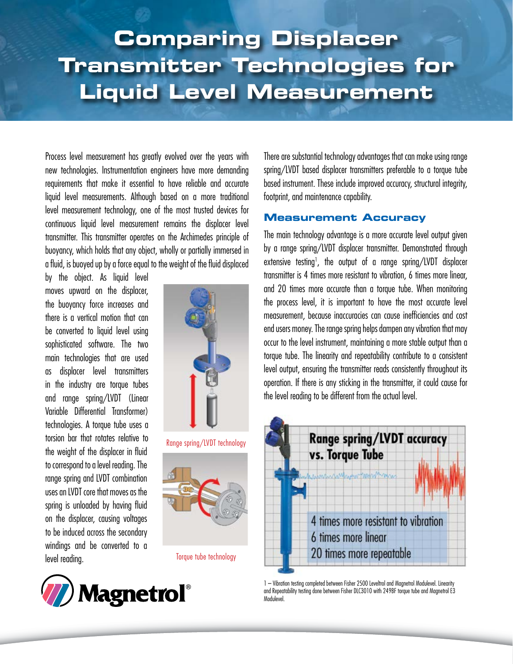# **Optimizing the Steam Generation Cycle and Condensation Recovery Process for Profit Comparing Displacer Transmitter Technologies for Liquid Level Measurement**

Process level measurement has greatly evolved over the years with new technologies. Instrumentation engineers have more demanding requirements that make it essential to have reliable and accurate liquid level measurements. Although based on a more traditional level measurement technology, one of the most trusted devices for continuous liquid level measurement remains the displacer level transmitter. This transmitter operates on the Archimedes principle of buoyancy, which holds that any object, wholly or partially immersed in a fluid, is buoyed up by a force equal to the weight of the fluid displaced

by the object. As liquid level moves upward on the displacer, the buoyancy force increases and there is a vertical motion that can be converted to liquid level using sophisticated software. The two main technologies that are used as displacer level transmitters in the industry are torque tubes and range spring/LVDT (Linear Variable Differential Transformer) technologies. A torque tube uses a torsion bar that rotates relative to the weight of the displacer in fluid to correspond to a level reading. The range spring and LVDT combination uses an LVDT core that moves as the spring is unloaded by having fluid on the displacer, causing voltages to be induced across the secondary windings and be converted to a level reading.







Torque tube technology



There are substantial technology advantages that can make using range spring/LVDT based displacer transmitters preferable to a torque tube based instrument. These include improved accuracy, structural integrity, footprint, and maintenance capability.

## **Measurement Accuracy**

The main technology advantage is a more accurate level output given by a range spring/LVDT displacer transmitter. Demonstrated through extensive testing<sup>1</sup>, the output of a range spring/LVDT displacer transmitter is 4 times more resistant to vibration, 6 times more linear, and 20 times more accurate than a torque tube. When monitoring the process level, it is important to have the most accurate level measurement, because inaccuracies can cause inefficiencies and cost end users money. The range spring helps dampen any vibration that may occur to the level instrument, maintaining a more stable output than a torque tube. The linearity and repeatability contribute to a consistent level output, ensuring the transmitter reads consistently throughout its operation. If there is any sticking in the transmitter, it could cause for the level reading to be different from the actual level.



1 – Vibration testing completed between Fisher 2500 Leveltrol and Magnetrol Modulevel. Linearity and Repeatability testing done between Fisher DLC3010 with 249BF torque tube and Magnetrol E3 Modulevel.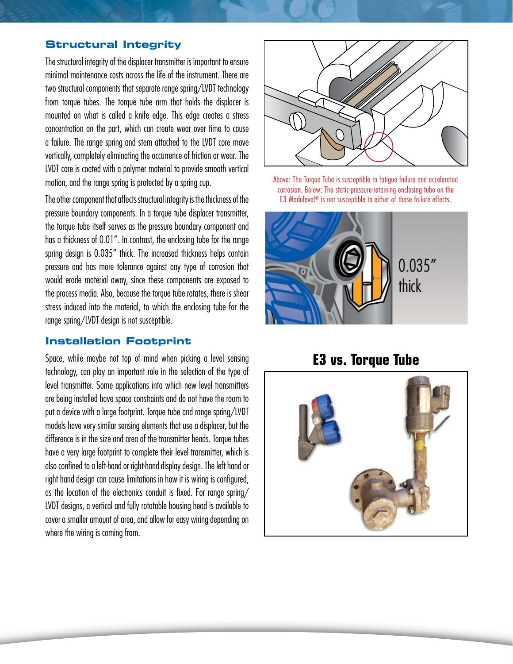#### **Structural Integrity**

The structural integrity of the displacer transmitter is important to ensure minimal maintenance costs across the life of the instrument. There are two structural components that separate range spring/LVDT technology from torque tubes. The torque tube arm that holds the displacer is mounted on what is called a knife edge. This edge creates a stress concentration on the part, which can create wear over time to cause a failure. The range spring and stem attached to the LVDT core move vertically, completely eliminating the occurrence of friction or wear. The LVDT core is coated with a polymer material to provide smooth vertical motion, and the range spring is protected by a spring cup.

The other component that affects structural integrity is the thickness of the pressure boundary components. In a torque tube displacer transmitter, the torque tube itself serves as the pressure boundary component and has a thickness of 0.01". In contrast, the enclosing tube for the range spring design is 0.035" thick. The increased thickness helps contain pressure and has more tolerance against any type of corrosion that would erode material away, since these components are exposed to the process media. Also, because the torque tube rotates, there is shear stress induced into the material, to which the enclosing tube for the range spring/LVDT design is not susceptible.

#### **Installation Footprint**

Space, while maybe not top of mind when picking a level sensing technology, can play an important role in the selection of the type of level transmitter. Some applications into which new level transmitters are being installed have space constraints and do not have the room to put a device with a large footprint. Torque tube and range spring/LVDT models have very similar sensing elements that use a displacer, but the difference is in the size and area of the transmitter heads. Torque tubes have a very large footprint to complete their level transmitter, which is also confined to a left-hand or right-hand display design. The left hand or right hand design can cause limitations in how it is wiring is configured, as the location of the electronics conduit is fixed. For range spring/ LVDT designs, a vertical and fully rotatable housing head is available to cover a smaller amount of area, and allow for easy wiring depending on where the wiring is coming from.



Above: The Torque Tube is susceptible to fatigue failure and accelerated corrosion. Below: The static-pressure-retaining enclosing tube on the E3 Modulevel<sup>®</sup> is not susceptible to either of these failure effects.